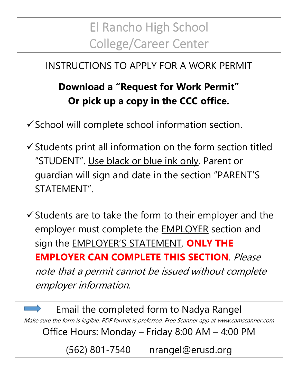## El Rancho High School **College/Career Center**

## INSTRUCTIONS TO APPLY FOR A WORK PERMIT

## **Download a "Request for Work Permit" Or pick up a copy in the CCC office.**

 $\checkmark$  School will complete school information section.

 $\checkmark$  Students print all information on the form section titled "STUDENT". Use black or blue ink only. Parent or guardian will sign and date in the section "PARENT'S STATEMENT".

 $\checkmark$  Students are to take the form to their employer and the employer must complete the EMPLOYER section and sign the EMPLOYER'S STATEMENT. **ONLY THE EMPLOYER CAN COMPLETE THIS SECTION.** Please note that a permit cannot be issued without complete employer information.

Email the completed form to Nadya Rangel Make sure the form is legible. PDF format is preferred. Free Scanner app at www.camscanner.com Office Hours: Monday – Friday 8:00 AM – 4:00 PM

(562) 801-7540 nrangel@erusd.org